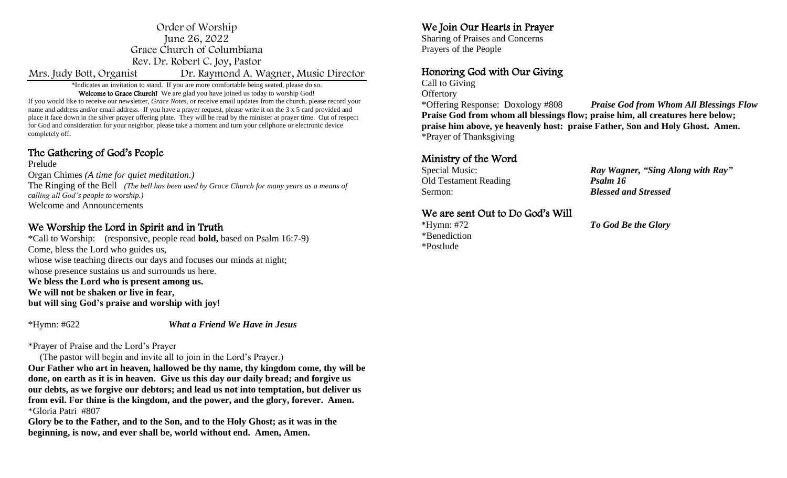#### Order of Worship June 26, 2022 Grace Church of Columbiana Rev. Dr. Robert C. Joy, Pastor Mrs. Judy Bott, Organist Dr. Raymond A. Wagner, Music Director

\*Indicates an invitation to stand. If you are more comfortable being seated, please do so. Welcome to Grace Church! We are glad you have joined us today to worship God!

If you would like to receive our newsletter*, Grace Notes,* or receive email updates from the church, please record your name and address and/or email address. If you have a prayer request, please write it on the 3 x 5 card provided and place it face down in the silver prayer offering plate. They will be read by the minister at prayer time. Out of respect for God and consideration for your neighbor, please take a moment and turn your cellphone or electronic device completely off.

## The Gathering of God's People

Prelude Organ Chimes *(A time for quiet meditation.)* The Ringing of the Bell *(The bell has been used by Grace Church for many years as a means of calling all God's people to worship.)*  Welcome and Announcements

### We Worship the Lord in Spirit and in Truth

\*Call to Worship: (responsive, people read **bold,** based on Psalm 16:7-9) Come, bless the Lord who guides us, whose wise teaching directs our days and focuses our minds at night; whose presence sustains us and surrounds us here. **We bless the Lord who is present among us. We will not be shaken or live in fear, but will sing God's praise and worship with joy!**

\*Hymn: #622 *What a Friend We Have in Jesus* 

\*Prayer of Praise and the Lord's Prayer

(The pastor will begin and invite all to join in the Lord's Prayer.)

**Our Father who art in heaven, hallowed be thy name, thy kingdom come, thy will be done, on earth as it is in heaven. Give us this day our daily bread; and forgive us our debts, as we forgive our debtors; and lead us not into temptation, but deliver us from evil. For thine is the kingdom, and the power, and the glory, forever. Amen.**  \*Gloria Patri #807

**Glory be to the Father, and to the Son, and to the Holy Ghost; as it was in the beginning, is now, and ever shall be, world without end. Amen, Amen.**

## We Join Our Hearts in Prayer

Sharing of Praises and Concerns Prayers of the People

# Honoring God with Our Giving

Call to Giving **Offertory** 

\*Offering Response: Doxology #808 *Praise God from Whom All Blessings Flow* **Praise God from whom all blessings flow; praise him, all creatures here below; praise him above, ye heavenly host: praise Father, Son and Holy Ghost. Amen.** \*Prayer of Thanksgiving

### Ministry of the Word

Old Testament Reading *Psalm 16* Sermon: *Blessed and Stressed*

Special Music: *Ray Wagner, "Sing Along with Ray"*

### We are sent Out to Do God's Will

\*Benediction \*Postlude

\*Hymn: #72 *To God Be the Glory*